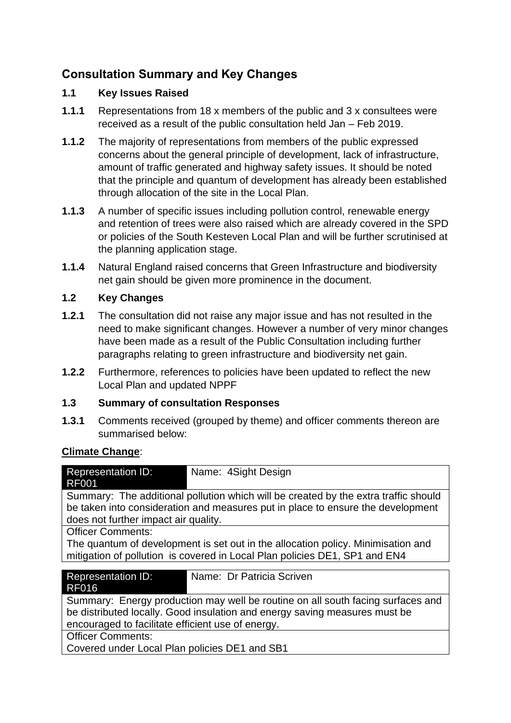# **Consultation Summary and Key Changes**

#### **1.1 Key Issues Raised**

- **1.1.1** Representations from 18 x members of the public and 3 x consultees were received as a result of the public consultation held Jan – Feb 2019.
- **1.1.2** The majority of representations from members of the public expressed concerns about the general principle of development, lack of infrastructure, amount of traffic generated and highway safety issues. It should be noted that the principle and quantum of development has already been established through allocation of the site in the Local Plan.
- **1.1.3** A number of specific issues including pollution control, renewable energy and retention of trees were also raised which are already covered in the SPD or policies of the South Kesteven Local Plan and will be further scrutinised at the planning application stage.
- **1.1.4** Natural England raised concerns that Green Infrastructure and biodiversity net gain should be given more prominence in the document.

#### **1.2 Key Changes**

- **1.2.1** The consultation did not raise any major issue and has not resulted in the need to make significant changes. However a number of very minor changes have been made as a result of the Public Consultation including further paragraphs relating to green infrastructure and biodiversity net gain.
- **1.2.2** Furthermore, references to policies have been updated to reflect the new Local Plan and updated NPPF

#### **1.3 Summary of consultation Responses**

**1.3.1** Comments received (grouped by theme) and officer comments thereon are summarised below:

#### **Climate Change**:

| <b>Representation ID:</b><br>Name: 4Sight Design<br><b>RF001</b>                                                                                                                                               |  |
|----------------------------------------------------------------------------------------------------------------------------------------------------------------------------------------------------------------|--|
| Summary: The additional pollution which will be created by the extra traffic should<br>be taken into consideration and measures put in place to ensure the development<br>does not further impact air quality. |  |
| <b>Officer Comments:</b>                                                                                                                                                                                       |  |
| The quantum of development is set out in the allocation policy. Minimisation and                                                                                                                               |  |
| mitigation of pollution is covered in Local Plan policies DE1, SP1 and EN4                                                                                                                                     |  |
|                                                                                                                                                                                                                |  |
| Name: Dr Patricia Scriven<br><b>Representation ID:</b><br><b>RF016</b>                                                                                                                                         |  |
| Summary: Energy production may well be routine on all south facing surfaces and                                                                                                                                |  |
| be distributed locally. Good insulation and energy saving measures must be                                                                                                                                     |  |
| encouraged to facilitate efficient use of energy.                                                                                                                                                              |  |
| <b>Officer Comments:</b>                                                                                                                                                                                       |  |
| Covered under Local Plan policies DE1 and SB1                                                                                                                                                                  |  |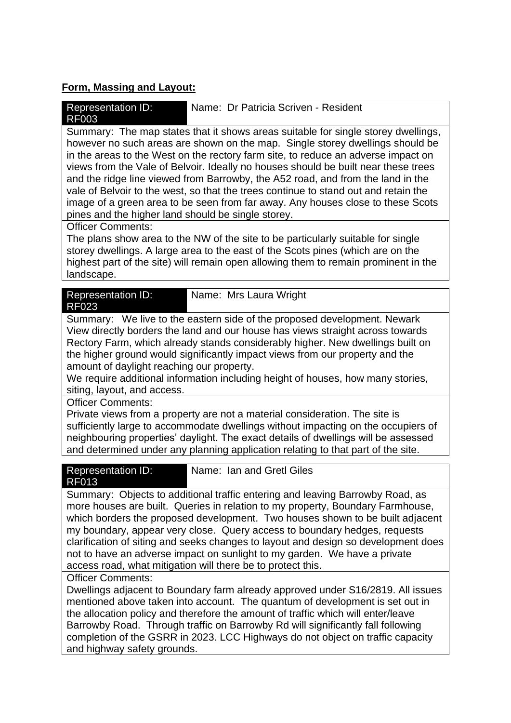# **Form, Massing and Layout:**

| Name: Dr Patricia Scriven - Resident<br><b>Representation ID:</b><br><b>RF003</b>                                                                                                                                                                                                                                                                                                                                                                                                                                                                                                                                                                                |  |
|------------------------------------------------------------------------------------------------------------------------------------------------------------------------------------------------------------------------------------------------------------------------------------------------------------------------------------------------------------------------------------------------------------------------------------------------------------------------------------------------------------------------------------------------------------------------------------------------------------------------------------------------------------------|--|
| Summary: The map states that it shows areas suitable for single storey dwellings,<br>however no such areas are shown on the map. Single storey dwellings should be<br>in the areas to the West on the rectory farm site, to reduce an adverse impact on<br>views from the Vale of Belvoir. Ideally no houses should be built near these trees<br>and the ridge line viewed from Barrowby, the A52 road, and from the land in the<br>vale of Belvoir to the west, so that the trees continue to stand out and retain the<br>image of a green area to be seen from far away. Any houses close to these Scots<br>pines and the higher land should be single storey. |  |
| <b>Officer Comments:</b><br>The plans show area to the NW of the site to be particularly suitable for single<br>storey dwellings. A large area to the east of the Scots pines (which are on the<br>highest part of the site) will remain open allowing them to remain prominent in the<br>landscape.                                                                                                                                                                                                                                                                                                                                                             |  |
| <b>Representation ID:</b><br>Name: Mrs Laura Wright<br><b>RF023</b>                                                                                                                                                                                                                                                                                                                                                                                                                                                                                                                                                                                              |  |
| Summary: We live to the eastern side of the proposed development. Newark<br>View directly borders the land and our house has views straight across towards<br>Rectory Farm, which already stands considerably higher. New dwellings built on<br>the higher ground would significantly impact views from our property and the<br>amount of daylight reaching our property.<br>We require additional information including height of houses, how many stories,<br>siting, layout, and access.                                                                                                                                                                      |  |
| <b>Officer Comments:</b><br>Private views from a property are not a material consideration. The site is<br>sufficiently large to accommodate dwellings without impacting on the occupiers of<br>neighbouring properties' daylight. The exact details of dwellings will be assessed<br>and determined under any planning application relating to that part of the site.                                                                                                                                                                                                                                                                                           |  |
| Name: Ian and Gretl Giles<br><b>Representation ID:</b><br><b>RF013</b>                                                                                                                                                                                                                                                                                                                                                                                                                                                                                                                                                                                           |  |
| Summary: Objects to additional traffic entering and leaving Barrowby Road, as<br>more houses are built. Queries in relation to my property, Boundary Farmhouse,<br>which borders the proposed development. Two houses shown to be built adjacent<br>my boundary, appear very close. Query access to boundary hedges, requests<br>clarification of siting and seeks changes to layout and design so development does<br>not to have an adverse impact on sunlight to my garden. We have a private<br>access road, what mitigation will there be to protect this.                                                                                                  |  |
| <b>Officer Comments:</b><br>Dwellings adjacent to Boundary farm already approved under S16/2819. All issues<br>mentioned above taken into account. The quantum of development is set out in<br>the allocation policy and therefore the amount of traffic which will enter/leave<br>Barrowby Road. Through traffic on Barrowby Rd will significantly fall following<br>completion of the GSRR in 2023. LCC Highways do not object on traffic capacity                                                                                                                                                                                                             |  |

and highway safety grounds.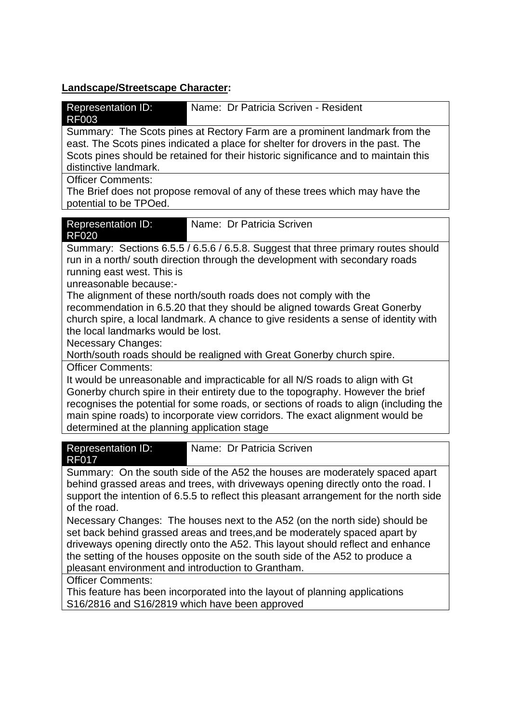# **Landscape/Streetscape Character:**

| <b>Representation ID:</b><br>Name: Dr Patricia Scriven - Resident<br><b>RF003</b>                                                                                                                                                                                                                                                                                                                                      |
|------------------------------------------------------------------------------------------------------------------------------------------------------------------------------------------------------------------------------------------------------------------------------------------------------------------------------------------------------------------------------------------------------------------------|
| Summary: The Scots pines at Rectory Farm are a prominent landmark from the<br>east. The Scots pines indicated a place for shelter for drovers in the past. The<br>Scots pines should be retained for their historic significance and to maintain this<br>distinctive landmark.                                                                                                                                         |
| <b>Officer Comments:</b><br>The Brief does not propose removal of any of these trees which may have the<br>potential to be TPOed.                                                                                                                                                                                                                                                                                      |
| Name: Dr Patricia Scriven<br><b>Representation ID:</b><br><b>RF020</b>                                                                                                                                                                                                                                                                                                                                                 |
| Summary: Sections 6.5.5 / 6.5.6 / 6.5.8. Suggest that three primary routes should<br>run in a north/ south direction through the development with secondary roads<br>running east west. This is<br>unreasonable because:-                                                                                                                                                                                              |
| The alignment of these north/south roads does not comply with the<br>recommendation in 6.5.20 that they should be aligned towards Great Gonerby<br>church spire, a local landmark. A chance to give residents a sense of identity with<br>the local landmarks would be lost.<br>Necessary Changes:                                                                                                                     |
| North/south roads should be realigned with Great Gonerby church spire.                                                                                                                                                                                                                                                                                                                                                 |
| <b>Officer Comments:</b><br>It would be unreasonable and impracticable for all N/S roads to align with Gt<br>Gonerby church spire in their entirety due to the topography. However the brief<br>recognises the potential for some roads, or sections of roads to align (including the<br>main spine roads) to incorporate view corridors. The exact alignment would be<br>determined at the planning application stage |
| Name: Dr Patricia Scriven<br><b>Representation ID:</b><br><b>RF017</b>                                                                                                                                                                                                                                                                                                                                                 |
| Summary: On the south side of the A52 the houses are moderately spaced apart<br>behind grassed areas and trees, with driveways opening directly onto the road. I<br>support the intention of 6.5.5 to reflect this pleasant arrangement for the north side<br>of the road.                                                                                                                                             |
| Necessary Changes: The houses next to the A52 (on the north side) should be<br>set back behind grassed areas and trees, and be moderately spaced apart by<br>driveways opening directly onto the A52. This layout should reflect and enhance<br>the setting of the houses opposite on the south side of the A52 to produce a<br>pleasant environment and introduction to Grantham.                                     |
| <b>Officer Comments:</b><br>This feature has been incorporated into the layout of planning applications<br>S16/2816 and S16/2819 which have been approved                                                                                                                                                                                                                                                              |
|                                                                                                                                                                                                                                                                                                                                                                                                                        |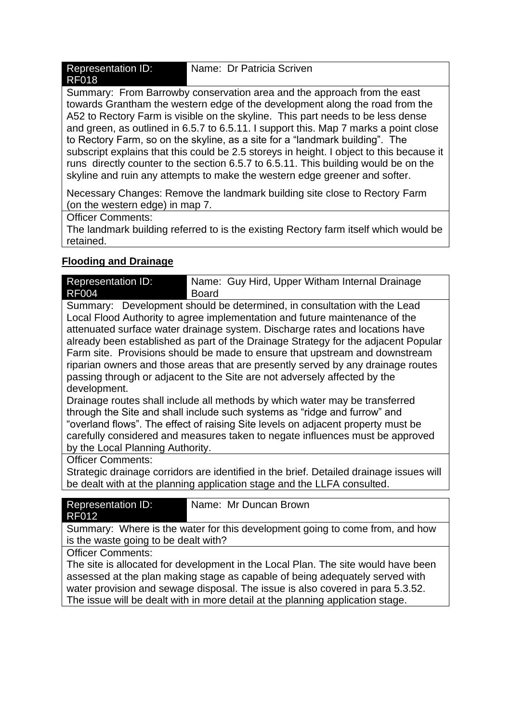| <b>Representation ID:</b> | Name: Dr Patricia Scriven |
|---------------------------|---------------------------|
| <b>RF018</b>              |                           |

Summary: From Barrowby conservation area and the approach from the east towards Grantham the western edge of the development along the road from the A52 to Rectory Farm is visible on the skyline. This part needs to be less dense and green, as outlined in 6.5.7 to 6.5.11. I support this. Map 7 marks a point close to Rectory Farm, so on the skyline, as a site for a "landmark building". The subscript explains that this could be 2.5 storeys in height. I object to this because it runs directly counter to the section 6.5.7 to 6.5.11. This building would be on the skyline and ruin any attempts to make the western edge greener and softer.

Necessary Changes: Remove the landmark building site close to Rectory Farm (on the western edge) in map  $7.5$ 

Officer Comments:

The landmark building referred to is the existing Rectory farm itself which would be retained.

### **Flooding and Drainage**

| <b>Representation ID:</b> | Name: Guy Hird, Upper Witham Internal Drainage |
|---------------------------|------------------------------------------------|
| <b>RF004</b>              | <b>Board</b>                                   |

Summary: Development should be determined, in consultation with the Lead Local Flood Authority to agree implementation and future maintenance of the attenuated surface water drainage system. Discharge rates and locations have already been established as part of the Drainage Strategy for the adjacent Popular Farm site. Provisions should be made to ensure that upstream and downstream riparian owners and those areas that are presently served by any drainage routes passing through or adjacent to the Site are not adversely affected by the development.

Drainage routes shall include all methods by which water may be transferred through the Site and shall include such systems as "ridge and furrow" and "overland flows". The effect of raising Site levels on adjacent property must be carefully considered and measures taken to negate influences must be approved by the Local Planning Authority.

Officer Comments:

Strategic drainage corridors are identified in the brief. Detailed drainage issues will be dealt with at the planning application stage and the LLFA consulted.

| Representation ID:<br>RF012 | Name: Mr Duncan Brown                                                        |
|-----------------------------|------------------------------------------------------------------------------|
|                             | Summary: Where is the water for this development going to come from, and how |

y: Where is the water for this development going to come from, and how is the waste going to be dealt with?

Officer Comments:

The site is allocated for development in the Local Plan. The site would have been assessed at the plan making stage as capable of being adequately served with water provision and sewage disposal. The issue is also covered in para 5.3.52. The issue will be dealt with in more detail at the planning application stage.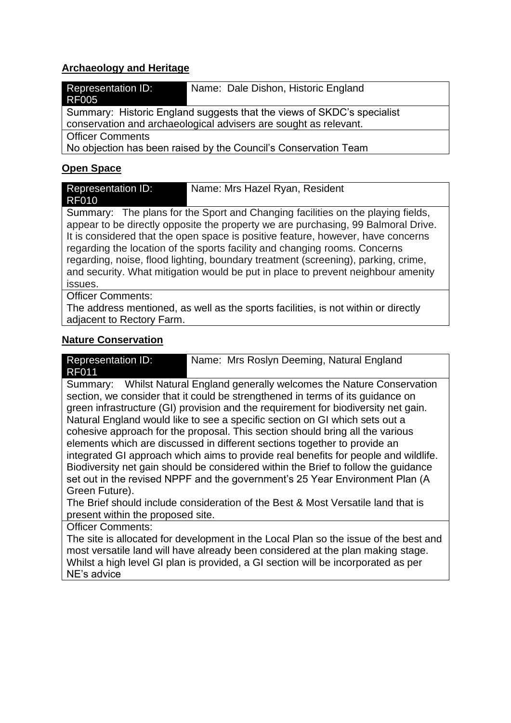#### **Archaeology and Heritage**

| <b>Representation ID:</b><br><b>RF005</b>                       | Name: Dale Dishon, Historic England                                    |
|-----------------------------------------------------------------|------------------------------------------------------------------------|
|                                                                 | Summary: Historic England suggests that the views of SKDC's specialist |
|                                                                 |                                                                        |
|                                                                 | conservation and archaeological advisers are sought as relevant.       |
| <b>Officer Comments</b>                                         |                                                                        |
| No objection has been raised by the Council's Conservation Team |                                                                        |
|                                                                 |                                                                        |
| Onen Snace                                                      |                                                                        |

#### **Open Space**

| <b>Representation ID:</b> | Name: Mrs Hazel Ryan, Resident                                                    |
|---------------------------|-----------------------------------------------------------------------------------|
| <b>RF010</b>              |                                                                                   |
|                           | Summary: The plans for the Sport and Changing facilities on the playing fields,   |
|                           | appear to be directly opposite the property we are purchasing, 99 Balmoral Drive. |
|                           | It is considered that the open space is positive feature, however, have concerns  |
|                           | regarding the location of the sports facility and changing rooms. Concerns        |
|                           | regarding, noise, flood lighting, boundary treatment (screening), parking, crime, |
|                           | and security. What mitigation would be put in place to prevent neighbour amenity  |
| issues.                   |                                                                                   |
| <b>Officer Comments:</b>  |                                                                                   |
|                           | The address mentioned as well as the sports facilities is not within or directly  |

ss mentioned, as well as the sports facilities, is not within or directly adjacent to Rectory Farm.

#### **Nature Conservation**

| <b>Representation ID:</b> | Name: Mrs Roslyn Deeming, Natural England |
|---------------------------|-------------------------------------------|
| <b>RF011</b>              |                                           |

Summary: Whilst Natural England generally welcomes the Nature Conservation section, we consider that it could be strengthened in terms of its guidance on green infrastructure (GI) provision and the requirement for biodiversity net gain. Natural England would like to see a specific section on GI which sets out a cohesive approach for the proposal. This section should bring all the various elements which are discussed in different sections together to provide an integrated GI approach which aims to provide real benefits for people and wildlife. Biodiversity net gain should be considered within the Brief to follow the guidance set out in the revised NPPF and the government's 25 Year Environment Plan (A Green Future).

The Brief should include consideration of the Best & Most Versatile land that is present within the proposed site.

Officer Comments:

The site is allocated for development in the Local Plan so the issue of the best and most versatile land will have already been considered at the plan making stage. Whilst a high level GI plan is provided, a GI section will be incorporated as per NE's advice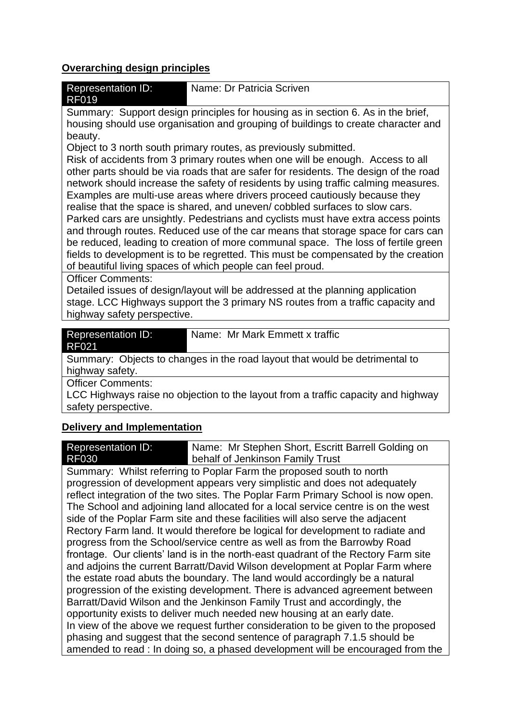#### **Overarching design principles**

| <b>Representation ID:</b><br><b>RF019</b> | Name: Dr Patricia Scriven                                                        |
|-------------------------------------------|----------------------------------------------------------------------------------|
|                                           | Summary: Support design principles for housing as in section 6. As in the brief. |

upport design principles for housing as in section  $\epsilon$ housing should use organisation and grouping of buildings to create character and beauty.

Object to 3 north south primary routes, as previously submitted.

Risk of accidents from 3 primary routes when one will be enough. Access to all other parts should be via roads that are safer for residents. The design of the road network should increase the safety of residents by using traffic calming measures. Examples are multi-use areas where drivers proceed cautiously because they realise that the space is shared, and uneven/ cobbled surfaces to slow cars. Parked cars are unsightly. Pedestrians and cyclists must have extra access points and through routes. Reduced use of the car means that storage space for cars can be reduced, leading to creation of more communal space. The loss of fertile green fields to development is to be regretted. This must be compensated by the creation of beautiful living spaces of which people can feel proud.

Officer Comments:

Detailed issues of design/layout will be addressed at the planning application stage. LCC Highways support the 3 primary NS routes from a traffic capacity and highway safety perspective.

| <b>Representation ID:</b><br><b>RF021</b> | Name: Mr Mark Emmett x traffic                                              |
|-------------------------------------------|-----------------------------------------------------------------------------|
|                                           | Summary: Objects to changes in the road layout that would be detrimental to |
| highway safety.                           |                                                                             |
| <b>Officer Comments:</b>                  |                                                                             |

LCC Highways raise no objection to the layout from a traffic capacity and highway safety perspective.

#### **Delivery and Implementation**

Representation ID: RF030 Name: Mr Stephen Short, Escritt Barrell Golding on behalf of Jenkinson Family Trust

Summary: Whilst referring to Poplar Farm the proposed south to north progression of development appears very simplistic and does not adequately reflect integration of the two sites. The Poplar Farm Primary School is now open. The School and adjoining land allocated for a local service centre is on the west side of the Poplar Farm site and these facilities will also serve the adjacent Rectory Farm land. It would therefore be logical for development to radiate and progress from the School/service centre as well as from the Barrowby Road frontage. Our clients' land is in the north‐east quadrant of the Rectory Farm site and adjoins the current Barratt/David Wilson development at Poplar Farm where the estate road abuts the boundary. The land would accordingly be a natural progression of the existing development. There is advanced agreement between Barratt/David Wilson and the Jenkinson Family Trust and accordingly, the opportunity exists to deliver much needed new housing at an early date. In view of the above we request further consideration to be given to the proposed phasing and suggest that the second sentence of paragraph 7.1.5 should be amended to read : In doing so, a phased development will be encouraged from the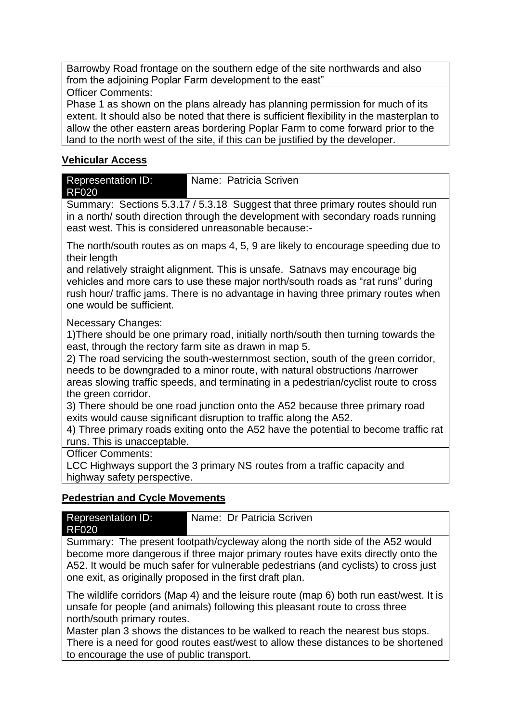Barrowby Road frontage on the southern edge of the site northwards and also from the adjoining Poplar Farm development to the east"

Officer Comments:

Phase 1 as shown on the plans already has planning permission for much of its extent. It should also be noted that there is sufficient flexibility in the masterplan to allow the other eastern areas bordering Poplar Farm to come forward prior to the land to the north west of the site, if this can be justified by the developer.

#### **Vehicular Access**

| <b>Representation ID:</b><br><b>RF020</b> | Name: Patricia Scriven                                                                                                                                                                                                    |
|-------------------------------------------|---------------------------------------------------------------------------------------------------------------------------------------------------------------------------------------------------------------------------|
|                                           | Summary: Sections 5.3.17 / 5.3.18 Suggest that three primary routes should run<br>in a north/south direction through the development with secondary roads running<br>east west. This is considered unreasonable because:- |
| their length                              | The north/south routes as on maps 4, 5, 9 are likely to encourage speeding due to                                                                                                                                         |

and relatively straight alignment. This is unsafe. Satnavs may encourage big vehicles and more cars to use these major north/south roads as "rat runs" during rush hour/ traffic jams. There is no advantage in having three primary routes when one would be sufficient.

Necessary Changes:

1)There should be one primary road, initially north/south then turning towards the east, through the rectory farm site as drawn in map 5.

2) The road servicing the south-westernmost section, south of the green corridor, needs to be downgraded to a minor route, with natural obstructions /narrower areas slowing traffic speeds, and terminating in a pedestrian/cyclist route to cross the green corridor.

3) There should be one road junction onto the A52 because three primary road exits would cause significant disruption to traffic along the A52.

4) Three primary roads exiting onto the A52 have the potential to become traffic rat runs. This is unacceptable.

Officer Comments:

LCC Highways support the 3 primary NS routes from a traffic capacity and highway safety perspective.

### **Pedestrian and Cycle Movements**

| Representation ID: | Name: Dr Patricia Scriven |
|--------------------|---------------------------|
| RF020              |                           |

Summary: The present footpath/cycleway along the north side of the A52 would become more dangerous if three major primary routes have exits directly onto the A52. It would be much safer for vulnerable pedestrians (and cyclists) to cross just one exit, as originally proposed in the first draft plan.

The wildlife corridors (Map 4) and the leisure route (map 6) both run east/west. It is unsafe for people (and animals) following this pleasant route to cross three north/south primary routes.

Master plan 3 shows the distances to be walked to reach the nearest bus stops. There is a need for good routes east/west to allow these distances to be shortened to encourage the use of public transport.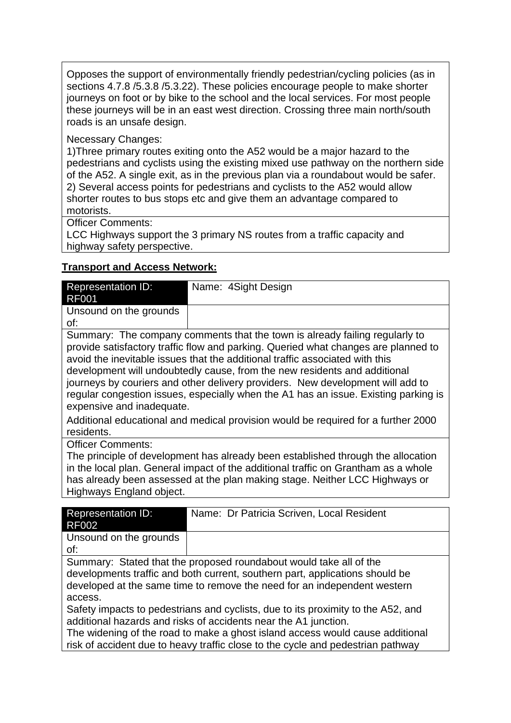Opposes the support of environmentally friendly pedestrian/cycling policies (as in sections 4.7.8 /5.3.8 /5.3.22). These policies encourage people to make shorter journeys on foot or by bike to the school and the local services. For most people these journeys will be in an east west direction. Crossing three main north/south roads is an unsafe design.

#### Necessary Changes:

1)Three primary routes exiting onto the A52 would be a major hazard to the pedestrians and cyclists using the existing mixed use pathway on the northern side of the A52. A single exit, as in the previous plan via a roundabout would be safer. 2) Several access points for pedestrians and cyclists to the A52 would allow shorter routes to bus stops etc and give them an advantage compared to motorists.

Officer Comments:

LCC Highways support the 3 primary NS routes from a traffic capacity and highway safety perspective.

#### **Transport and Access Network:**

| Representation ID:<br><b>RF001</b> | Name: 4Sight Design |
|------------------------------------|---------------------|
| Unsound on the grounds<br>of:      |                     |
| $\overline{\phantom{a}}$<br>--     | .                   |

Summary: The company comments that the town is already failing regularly to provide satisfactory traffic flow and parking. Queried what changes are planned to avoid the inevitable issues that the additional traffic associated with this development will undoubtedly cause, from the new residents and additional journeys by couriers and other delivery providers. New development will add to regular congestion issues, especially when the A1 has an issue. Existing parking is expensive and inadequate.

Additional educational and medical provision would be required for a further 2000 residents.

Officer Comments:

The principle of development has already been established through the allocation in the local plan. General impact of the additional traffic on Grantham as a whole has already been assessed at the plan making stage. Neither LCC Highways or Highways England object.

| <b>Representation ID:</b> | Name: Dr Patricia Scriven, Local Resident |
|---------------------------|-------------------------------------------|
| RF002                     |                                           |
| Unsound on the grounds    |                                           |
| of:                       |                                           |

Summary: Stated that the proposed roundabout would take all of the developments traffic and both current, southern part, applications should be developed at the same time to remove the need for an independent western access.

Safety impacts to pedestrians and cyclists, due to its proximity to the A52, and additional hazards and risks of accidents near the A1 junction.

The widening of the road to make a ghost island access would cause additional risk of accident due to heavy traffic close to the cycle and pedestrian pathway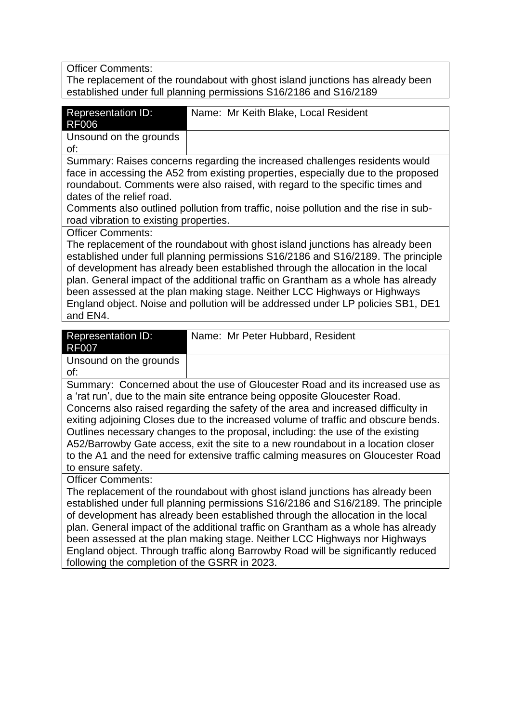Officer Comments:

The replacement of the roundabout with ghost island junctions has already been established under full planning permissions S16/2186 and S16/2189

| <b>Representation ID:</b><br>Name: Mr Keith Blake, Local Resident<br><b>RF006</b><br>Unsound on the grounds<br>of:<br>Summary: Raises concerns regarding the increased challenges residents would<br>face in accessing the A52 from existing properties, especially due to the proposed<br>roundabout. Comments were also raised, with regard to the specific times and<br>dates of the relief road.                                                                                                                                               |  |
|----------------------------------------------------------------------------------------------------------------------------------------------------------------------------------------------------------------------------------------------------------------------------------------------------------------------------------------------------------------------------------------------------------------------------------------------------------------------------------------------------------------------------------------------------|--|
|                                                                                                                                                                                                                                                                                                                                                                                                                                                                                                                                                    |  |
|                                                                                                                                                                                                                                                                                                                                                                                                                                                                                                                                                    |  |
|                                                                                                                                                                                                                                                                                                                                                                                                                                                                                                                                                    |  |
| Comments also outlined pollution from traffic, noise pollution and the rise in sub-<br>road vibration to existing properties.                                                                                                                                                                                                                                                                                                                                                                                                                      |  |
| <b>Officer Comments:</b><br>The replacement of the roundabout with ghost island junctions has already been<br>established under full planning permissions S16/2186 and S16/2189. The principle<br>of development has already been established through the allocation in the local<br>plan. General impact of the additional traffic on Grantham as a whole has already<br>been assessed at the plan making stage. Neither LCC Highways or Highways<br>England object. Noise and pollution will be addressed under LP policies SB1, DE1<br>and EN4. |  |

| <b>Representation ID:</b> | Name: Mr Peter Hubbard, Resident    |
|---------------------------|-------------------------------------|
| <b>RF007</b>              |                                     |
| Unsound on the grounds    |                                     |
| of:                       |                                     |
| $\sim$<br>∽               | $\sim$ $\sim$ $\sim$<br>.<br>.<br>- |

Summary: Concerned about the use of Gloucester Road and its increased use as a 'rat run', due to the main site entrance being opposite Gloucester Road. Concerns also raised regarding the safety of the area and increased difficulty in exiting adjoining Closes due to the increased volume of traffic and obscure bends. Outlines necessary changes to the proposal, including: the use of the existing A52/Barrowby Gate access, exit the site to a new roundabout in a location closer to the A1 and the need for extensive traffic calming measures on Gloucester Road to ensure safety.

Officer Comments:

The replacement of the roundabout with ghost island junctions has already been established under full planning permissions S16/2186 and S16/2189. The principle of development has already been established through the allocation in the local plan. General impact of the additional traffic on Grantham as a whole has already been assessed at the plan making stage. Neither LCC Highways nor Highways England object. Through traffic along Barrowby Road will be significantly reduced following the completion of the GSRR in 2023.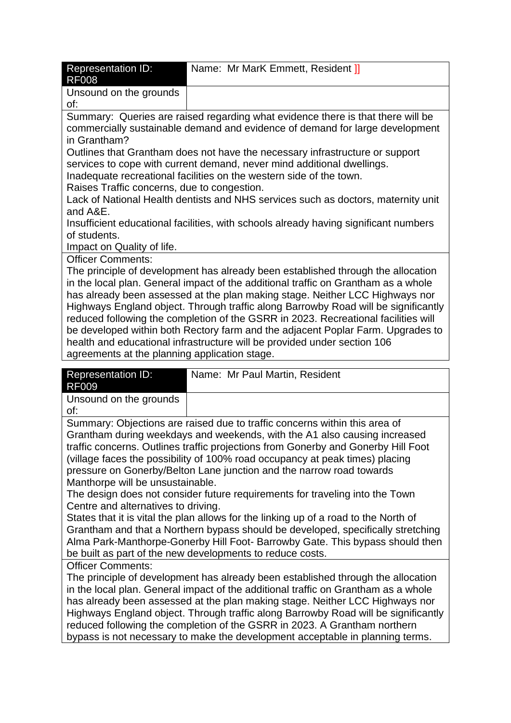| <b>Representation ID:</b><br><b>RF008</b>                                                                                                                                                                                                                                                                                                                                                                                                                                                                                                                                                                                                          | Name: Mr MarK Emmett, Resident ] |  |
|----------------------------------------------------------------------------------------------------------------------------------------------------------------------------------------------------------------------------------------------------------------------------------------------------------------------------------------------------------------------------------------------------------------------------------------------------------------------------------------------------------------------------------------------------------------------------------------------------------------------------------------------------|----------------------------------|--|
| Unsound on the grounds<br>of:                                                                                                                                                                                                                                                                                                                                                                                                                                                                                                                                                                                                                      |                                  |  |
| Summary: Queries are raised regarding what evidence there is that there will be<br>commercially sustainable demand and evidence of demand for large development<br>in Grantham?                                                                                                                                                                                                                                                                                                                                                                                                                                                                    |                                  |  |
| Outlines that Grantham does not have the necessary infrastructure or support<br>services to cope with current demand, never mind additional dwellings.<br>Inadequate recreational facilities on the western side of the town.<br>Raises Traffic concerns, due to congestion.                                                                                                                                                                                                                                                                                                                                                                       |                                  |  |
| Lack of National Health dentists and NHS services such as doctors, maternity unit<br>and A&E.                                                                                                                                                                                                                                                                                                                                                                                                                                                                                                                                                      |                                  |  |
| Insufficient educational facilities, with schools already having significant numbers<br>of students.<br>Impact on Quality of life.                                                                                                                                                                                                                                                                                                                                                                                                                                                                                                                 |                                  |  |
| <b>Officer Comments:</b>                                                                                                                                                                                                                                                                                                                                                                                                                                                                                                                                                                                                                           |                                  |  |
| The principle of development has already been established through the allocation<br>in the local plan. General impact of the additional traffic on Grantham as a whole<br>has already been assessed at the plan making stage. Neither LCC Highways nor<br>Highways England object. Through traffic along Barrowby Road will be significantly<br>reduced following the completion of the GSRR in 2023. Recreational facilities will<br>be developed within both Rectory farm and the adjacent Poplar Farm. Upgrades to<br>health and educational infrastructure will be provided under section 106<br>agreements at the planning application stage. |                                  |  |
| <b>Representation ID:</b><br>DENNA                                                                                                                                                                                                                                                                                                                                                                                                                                                                                                                                                                                                                 | Name: Mr Paul Martin, Resident   |  |

| Representation ID:<br>RF009                                                | Name: Mr Paul Martin, Resident |
|----------------------------------------------------------------------------|--------------------------------|
| Unsound on the grounds<br>of:                                              |                                |
| Summary: Objections are raised due to traffic concerns within this area of |                                |

Grantham during weekdays and weekends, with the A1 also causing increased traffic concerns. Outlines traffic projections from Gonerby and Gonerby Hill Foot (village faces the possibility of 100% road occupancy at peak times) placing pressure on Gonerby/Belton Lane junction and the narrow road towards Manthorpe will be unsustainable.

The design does not consider future requirements for traveling into the Town Centre and alternatives to driving.

States that it is vital the plan allows for the linking up of a road to the North of Grantham and that a Northern bypass should be developed, specifically stretching Alma Park-Manthorpe-Gonerby Hill Foot- Barrowby Gate. This bypass should then be built as part of the new developments to reduce costs.

Officer Comments:

The principle of development has already been established through the allocation in the local plan. General impact of the additional traffic on Grantham as a whole has already been assessed at the plan making stage. Neither LCC Highways nor Highways England object. Through traffic along Barrowby Road will be significantly reduced following the completion of the GSRR in 2023. A Grantham northern bypass is not necessary to make the development acceptable in planning terms.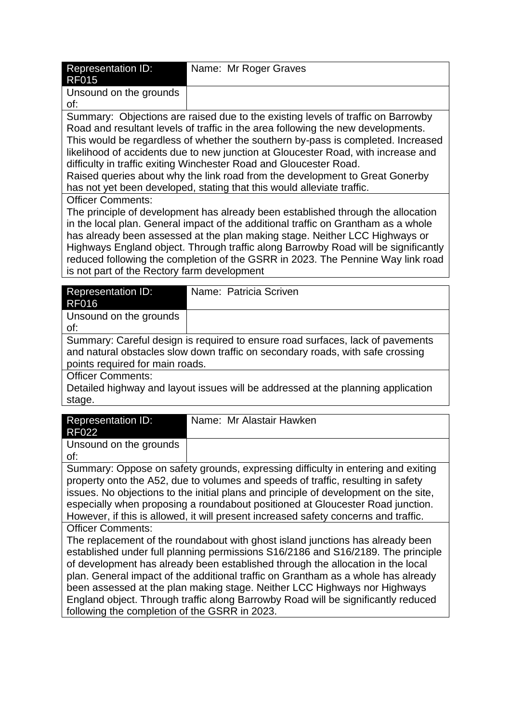| <b>Representation ID:</b><br><b>RF015</b> | Name: Mr Roger Graves |
|-------------------------------------------|-----------------------|
| Unsound on the grounds<br>of:             |                       |

Summary: Objections are raised due to the existing levels of traffic on Barrowby Road and resultant levels of traffic in the area following the new developments. This would be regardless of whether the southern by-pass is completed. Increased likelihood of accidents due to new junction at Gloucester Road, with increase and difficulty in traffic exiting Winchester Road and Gloucester Road.

Raised queries about why the link road from the development to Great Gonerby has not yet been developed, stating that this would alleviate traffic.

Officer Comments:

The principle of development has already been established through the allocation in the local plan. General impact of the additional traffic on Grantham as a whole has already been assessed at the plan making stage. Neither LCC Highways or Highways England object. Through traffic along Barrowby Road will be significantly reduced following the completion of the GSRR in 2023. The Pennine Way link road is not part of the Rectory farm development

| <b>Representation ID:</b><br><b>RF016</b>                                        | Name: Patricia Scriven |  |
|----------------------------------------------------------------------------------|------------------------|--|
|                                                                                  |                        |  |
| Unsound on the grounds                                                           |                        |  |
| of:                                                                              |                        |  |
| Summary: Careful design is required to ensure road surfaces, lack of pavements   |                        |  |
| and natural obstacles slow down traffic on secondary roads, with safe crossing   |                        |  |
| points required for main roads.                                                  |                        |  |
| <b>Officer Comments:</b>                                                         |                        |  |
| Detailed highway and layout issues will be addressed at the planning application |                        |  |
| stage.                                                                           |                        |  |

| <b>Representation ID:</b>                                                            | Name: Mr Alastair Hawken |
|--------------------------------------------------------------------------------------|--------------------------|
| <b>RF022</b>                                                                         |                          |
| Unsound on the grounds                                                               |                          |
| of:                                                                                  |                          |
| Summary: Oppose on safety grounds, expressing difficulty in entering and exiting     |                          |
| property onto the A52, due to volumes and speeds of traffic, resulting in safety     |                          |
| issues. No objections to the initial plans and principle of development on the site, |                          |
| especially when proposing a roundabout positioned at Gloucester Road junction.       |                          |
| However, if this is allowed, it will present increased safety concerns and traffic.  |                          |
| <b>Officer Comments:</b>                                                             |                          |

The replacement of the roundabout with ghost island junctions has already been established under full planning permissions S16/2186 and S16/2189. The principle of development has already been established through the allocation in the local plan. General impact of the additional traffic on Grantham as a whole has already been assessed at the plan making stage. Neither LCC Highways nor Highways England object. Through traffic along Barrowby Road will be significantly reduced following the completion of the GSRR in 2023.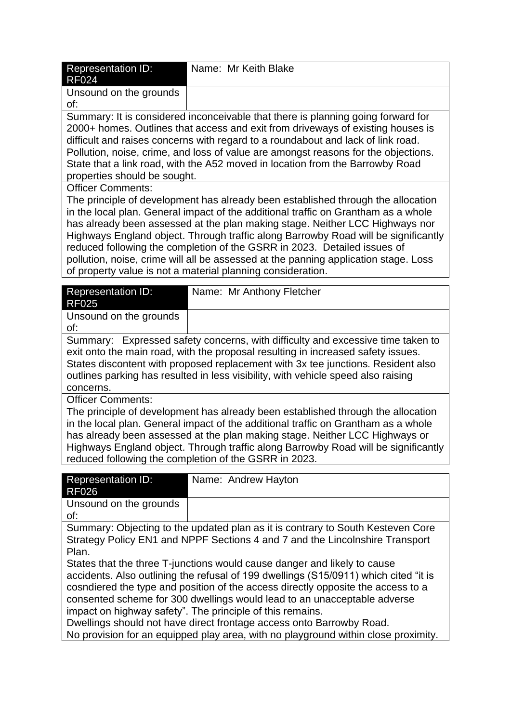| <b>Representation ID:</b><br><b>RF024</b>                                                                                                                           | Name: Mr Keith Blake                                                                                                                                                   |
|---------------------------------------------------------------------------------------------------------------------------------------------------------------------|------------------------------------------------------------------------------------------------------------------------------------------------------------------------|
| Unsound on the grounds                                                                                                                                              |                                                                                                                                                                        |
| of:                                                                                                                                                                 |                                                                                                                                                                        |
|                                                                                                                                                                     | Summary: It is considered inconceivable that there is planning going forward for                                                                                       |
| 2000+ homes. Outlines that access and exit from driveways of existing houses is<br>difficult and raises concerns with regard to a roundabout and lack of link road. |                                                                                                                                                                        |
| Pollution, noise, crime, and loss of value are amongst reasons for the objections.                                                                                  |                                                                                                                                                                        |
|                                                                                                                                                                     | State that a link road, with the A52 moved in location from the Barrowby Road                                                                                          |
| properties should be sought.                                                                                                                                        |                                                                                                                                                                        |
| <b>Officer Comments:</b>                                                                                                                                            |                                                                                                                                                                        |
|                                                                                                                                                                     | The principle of development has already been established through the allocation<br>in the local plan. General impact of the additional traffic on Grantham as a whole |
|                                                                                                                                                                     | has already been assessed at the plan making stage. Neither LCC Highways nor                                                                                           |
|                                                                                                                                                                     | Highways England object. Through traffic along Barrowby Road will be significantly                                                                                     |
|                                                                                                                                                                     | reduced following the completion of the GSRR in 2023. Detailed issues of                                                                                               |
|                                                                                                                                                                     | pollution, noise, crime will all be assessed at the panning application stage. Loss                                                                                    |
|                                                                                                                                                                     | of property value is not a material planning consideration.                                                                                                            |
| <b>Representation ID:</b><br><b>RF025</b>                                                                                                                           | Name: Mr Anthony Fletcher                                                                                                                                              |
| Unsound on the grounds                                                                                                                                              |                                                                                                                                                                        |
| of:                                                                                                                                                                 |                                                                                                                                                                        |
|                                                                                                                                                                     | Summary: Expressed safety concerns, with difficulty and excessive time taken to                                                                                        |
|                                                                                                                                                                     | exit onto the main road, with the proposal resulting in increased safety issues.                                                                                       |
|                                                                                                                                                                     | States discontent with proposed replacement with 3x tee junctions. Resident also                                                                                       |
| concerns.                                                                                                                                                           | outlines parking has resulted in less visibility, with vehicle speed also raising                                                                                      |
| <b>Officer Comments:</b>                                                                                                                                            |                                                                                                                                                                        |
| The principle of development has already been established through the allocation                                                                                    |                                                                                                                                                                        |
|                                                                                                                                                                     | in the local plan. General impact of the additional traffic on Grantham as a whole                                                                                     |
|                                                                                                                                                                     | has already been assessed at the plan making stage. Neither LCC Highways or                                                                                            |
|                                                                                                                                                                     | Highways England object. Through traffic along Barrowby Road will be significantly<br>reduced following the completion of the GSRR in 2023.                            |
|                                                                                                                                                                     |                                                                                                                                                                        |
| <b>Representation ID:</b><br>RF026                                                                                                                                  | Name: Andrew Hayton                                                                                                                                                    |
| Unsound on the grounds                                                                                                                                              |                                                                                                                                                                        |
| of:                                                                                                                                                                 |                                                                                                                                                                        |
|                                                                                                                                                                     | Summary: Objecting to the updated plan as it is contrary to South Kesteven Core                                                                                        |
|                                                                                                                                                                     | Strategy Policy EN1 and NPPF Sections 4 and 7 and the Lincolnshire Transport                                                                                           |
| Plan.                                                                                                                                                               | States that the three T-junctions would cause danger and likely to cause                                                                                               |
|                                                                                                                                                                     | accidents. Also outlining the refusal of 199 dwellings (S15/0911) which cited "it is                                                                                   |
|                                                                                                                                                                     | cosndiered the type and position of the access directly opposite the access to a                                                                                       |
|                                                                                                                                                                     | consented scheme for 300 dwellings would lead to an unacceptable adverse                                                                                               |
|                                                                                                                                                                     | impact on highway safety". The principle of this remains.                                                                                                              |
|                                                                                                                                                                     | Dwellings should not have direct frontage access onto Barrowby Road.                                                                                                   |

No provision for an equipped play area, with no playground within close proximity.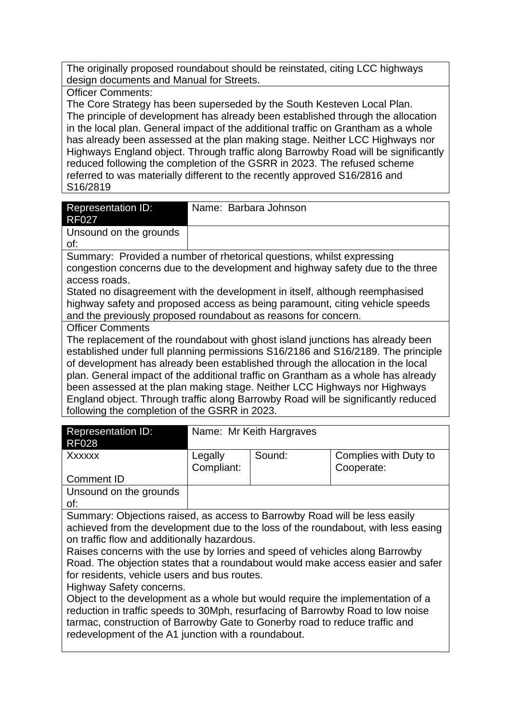The originally proposed roundabout should be reinstated, citing LCC highways design documents and Manual for Streets.

#### Officer Comments:

The Core Strategy has been superseded by the South Kesteven Local Plan. The principle of development has already been established through the allocation in the local plan. General impact of the additional traffic on Grantham as a whole has already been assessed at the plan making stage. Neither LCC Highways nor Highways England object. Through traffic along Barrowby Road will be significantly reduced following the completion of the GSRR in 2023. The refused scheme referred to was materially different to the recently approved S16/2816 and S16/2819

| <b>Representation ID:</b><br><b>RF027</b>                                                       | Name: Barbara Johnson                                                 |  |
|-------------------------------------------------------------------------------------------------|-----------------------------------------------------------------------|--|
| Unsound on the grounds<br>of:                                                                   |                                                                       |  |
|                                                                                                 | Summary: Provided a number of rhetorical questions, whilst expressing |  |
| congestion concerns due to the development and highway safety due to the three<br>access roads. |                                                                       |  |
| Stated no disagreement with the development in itself, although reemphasised                    |                                                                       |  |
| highway safety and proposed access as being paramount, citing vehicle speeds                    |                                                                       |  |
| and the previously proposed roundabout as reasons for concern.                                  |                                                                       |  |
| <b>Officer Comments</b>                                                                         |                                                                       |  |
| The replacement of the roundabout with ghost island junctions has already been                  |                                                                       |  |
| established under full planning permissions S16/2186 and S16/2189. The principle                |                                                                       |  |
| of development has already been established through the allocation in the local                 |                                                                       |  |
| plan. General impact of the additional traffic on Grantham as a whole has already               |                                                                       |  |
| been assessed at the plan making stage. Neither LCC Highways nor Highways                       |                                                                       |  |

England object. Through traffic along Barrowby Road will be significantly reduced following the completion of the GSRR in 2023.

| <b>Representation ID:</b><br><b>RF028</b> |                       | Name: Mr Keith Hargraves |                                     |
|-------------------------------------------|-----------------------|--------------------------|-------------------------------------|
| Xxxxxx                                    | Legally<br>Compliant: | Sound:                   | Complies with Duty to<br>Cooperate: |
| <b>Comment ID</b>                         |                       |                          |                                     |
| Unsound on the grounds                    |                       |                          |                                     |
| of:                                       |                       |                          |                                     |
| $\sim$<br>$\sim$ $\sim$                   |                       |                          |                                     |

Summary: Objections raised, as access to Barrowby Road will be less easily achieved from the development due to the loss of the roundabout, with less easing on traffic flow and additionally hazardous.

Raises concerns with the use by lorries and speed of vehicles along Barrowby Road. The objection states that a roundabout would make access easier and safer for residents, vehicle users and bus routes.

Highway Safety concerns.

Object to the development as a whole but would require the implementation of a reduction in traffic speeds to 30Mph, resurfacing of Barrowby Road to low noise tarmac, construction of Barrowby Gate to Gonerby road to reduce traffic and redevelopment of the A1 junction with a roundabout.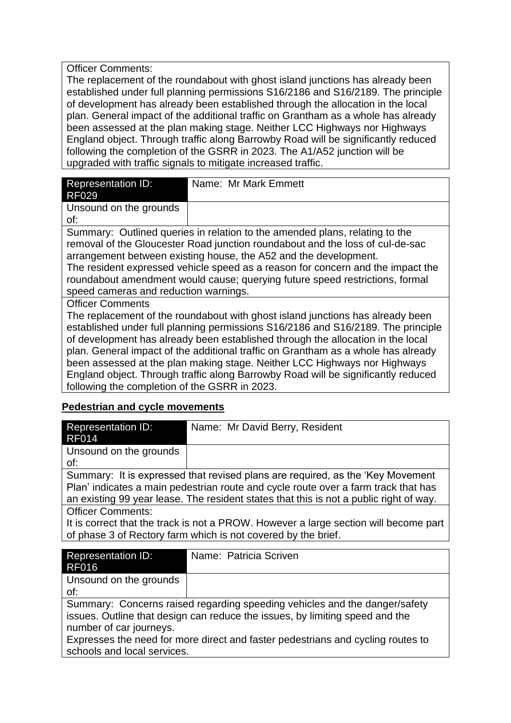Officer Comments:

The replacement of the roundabout with ghost island junctions has already been established under full planning permissions S16/2186 and S16/2189. The principle of development has already been established through the allocation in the local plan. General impact of the additional traffic on Grantham as a whole has already been assessed at the plan making stage. Neither LCC Highways nor Highways England object. Through traffic along Barrowby Road will be significantly reduced following the completion of the GSRR in 2023. The A1/A52 junction will be upgraded with traffic signals to mitigate increased traffic.

| <b>Representation ID:</b>                                                       | Name: Mr Mark Emmett |  |  |
|---------------------------------------------------------------------------------|----------------------|--|--|
| <b>RF029</b>                                                                    |                      |  |  |
| Unsound on the grounds                                                          |                      |  |  |
| of:                                                                             |                      |  |  |
| Summary: Outlined queries in relation to the amended plans, relating to the     |                      |  |  |
| removal of the Gloucester Road junction roundabout and the loss of cul-de-sac   |                      |  |  |
| arrangement between existing house, the A52 and the development.                |                      |  |  |
| The resident expressed vehicle speed as a reason for concern and the impact the |                      |  |  |
| roundabout amendment would cause; querying future speed restrictions, formal    |                      |  |  |
| speed cameras and reduction warnings.                                           |                      |  |  |
| <b>Officer Comments</b>                                                         |                      |  |  |
| The replacement of the roundabout with ghost island junctions has already heen  |                      |  |  |

lacement of the roundabout with ghost island junctions has already been established under full planning permissions S16/2186 and S16/2189. The principle of development has already been established through the allocation in the local plan. General impact of the additional traffic on Grantham as a whole has already been assessed at the plan making stage. Neither LCC Highways nor Highways England object. Through traffic along Barrowby Road will be significantly reduced following the completion of the GSRR in 2023.

#### **Pedestrian and cycle movements**

| <b>Representation ID:</b><br><b>RF014</b>                                                                                                                                                                                                                       | Name: Mr David Berry, Resident |  |
|-----------------------------------------------------------------------------------------------------------------------------------------------------------------------------------------------------------------------------------------------------------------|--------------------------------|--|
| Unsound on the grounds<br>of:                                                                                                                                                                                                                                   |                                |  |
| Summary: It is expressed that revised plans are required, as the 'Key Movement'<br>Plan' indicates a main pedestrian route and cycle route over a farm track that has<br>an existing 99 year lease. The resident states that this is not a public right of way. |                                |  |
| <b>Officer Comments:</b><br>It is correct that the track is not a PROW. However a large section will become part<br>of phase 3 of Rectory farm which is not covered by the brief.                                                                               |                                |  |
|                                                                                                                                                                                                                                                                 |                                |  |
| <b>Representation ID:</b><br><b>RF016</b>                                                                                                                                                                                                                       | Name: Patricia Scriven         |  |
| Unsound on the grounds                                                                                                                                                                                                                                          |                                |  |

of:

Summary: Concerns raised regarding speeding vehicles and the danger/safety issues. Outline that design can reduce the issues, by limiting speed and the number of car journeys.

Expresses the need for more direct and faster pedestrians and cycling routes to schools and local services.